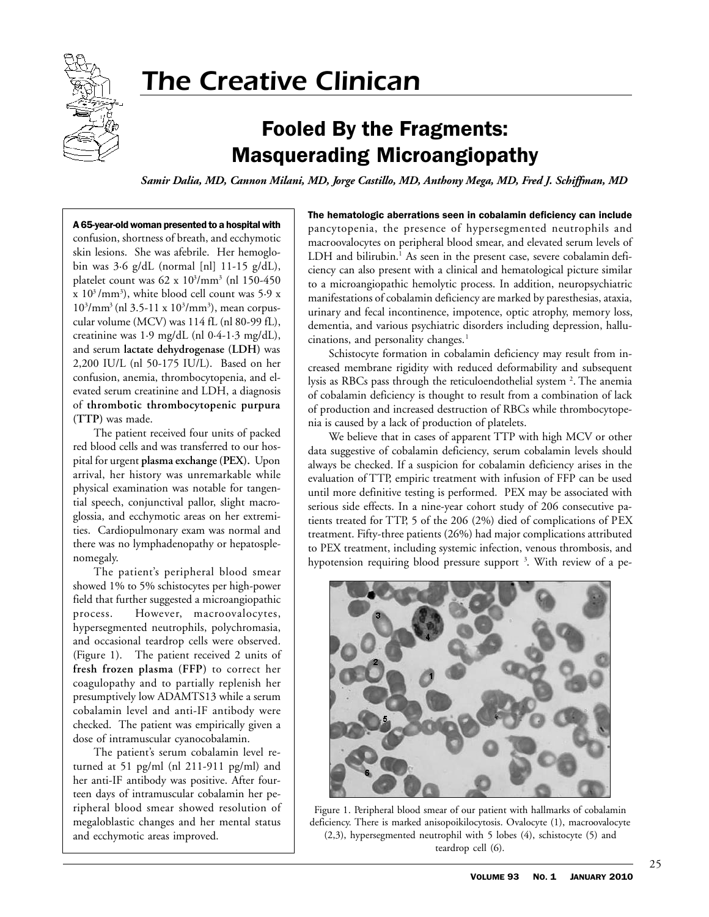

# The Creative Clinican

## Fooled By the Fragments: Masquerading Microangiopathy

*Samir Dalia, MD, Cannon Milani, MD, Jorge Castillo, MD, Anthony Mega, MD, Fred J. Schiffman, MD*

#### A 65-year-old woman presented to a hospital with

confusion, shortness of breath, and ecchymotic skin lesions. She was afebrile. Her hemoglobin was 3·6 g/dL (normal [nl] 11-15 g/dL), platelet count was 62 x 10<sup>3</sup>/mm<sup>3</sup> (nl 150-450  $\propto 10^3/\text{mm}^3$ ), white blood cell count was 5.9 x  $10^{3}/\text{mm}^{3}$  (nl 3.5-11 x  $10^{3}/\text{mm}^{3}$ ), mean corpuscular volume (MCV) was 114 fL (nl 80-99 fL), creatinine was 1·9 mg/dL (nl 0·4-1·3 mg/dL), and serum **lactate dehydrogenase (LDH)** was 2,200 IU/L (nl 50-175 IU/L). Based on her confusion, anemia, thrombocytopenia, and elevated serum creatinine and LDH, a diagnosis of **thrombotic thrombocytopenic purpura (TTP)** was made.

The patient received four units of packed red blood cells and was transferred to our hospital for urgent **plasma exchange (PEX).** Upon arrival, her history was unremarkable while physical examination was notable for tangential speech, conjunctival pallor, slight macroglossia, and ecchymotic areas on her extremities. Cardiopulmonary exam was normal and there was no lymphadenopathy or hepatosplenomegaly.

The patient's peripheral blood smear showed 1% to 5% schistocytes per high-power field that further suggested a microangiopathic process. However, macroovalocytes, hypersegmented neutrophils, polychromasia, and occasional teardrop cells were observed. (Figure 1). The patient received 2 units of **fresh frozen plasma (FFP)** to correct her coagulopathy and to partially replenish her presumptively low ADAMTS13 while a serum cobalamin level and anti-IF antibody were checked. The patient was empirically given a dose of intramuscular cyanocobalamin.

The patient's serum cobalamin level returned at 51 pg/ml (nl 211-911 pg/ml) and her anti-IF antibody was positive. After fourteen days of intramuscular cobalamin her peripheral blood smear showed resolution of megaloblastic changes and her mental status and ecchymotic areas improved.

The hematologic aberrations seen in cobalamin deficiency can include pancytopenia, the presence of hypersegmented neutrophils and macroovalocytes on peripheral blood smear, and elevated serum levels of LDH and bilirubin.<sup>1</sup> As seen in the present case, severe cobalamin deficiency can also present with a clinical and hematological picture similar to a microangiopathic hemolytic process. In addition, neuropsychiatric manifestations of cobalamin deficiency are marked by paresthesias, ataxia, urinary and fecal incontinence, impotence, optic atrophy, memory loss, dementia, and various psychiatric disorders including depression, hallucinations, and personality changes.<sup>1</sup>

Schistocyte formation in cobalamin deficiency may result from increased membrane rigidity with reduced deformability and subsequent lysis as RBCs pass through the reticuloendothelial system <sup>2</sup>. The anemia of cobalamin deficiency is thought to result from a combination of lack of production and increased destruction of RBCs while thrombocytopenia is caused by a lack of production of platelets.

We believe that in cases of apparent TTP with high MCV or other data suggestive of cobalamin deficiency, serum cobalamin levels should always be checked. If a suspicion for cobalamin deficiency arises in the evaluation of TTP, empiric treatment with infusion of FFP can be used until more definitive testing is performed. PEX may be associated with serious side effects. In a nine-year cohort study of 206 consecutive patients treated for TTP, 5 of the 206 (2%) died of complications of PEX treatment. Fifty-three patients (26%) had major complications attributed to PEX treatment, including systemic infection, venous thrombosis, and hypotension requiring blood pressure support <sup>3</sup>. With review of a pe-



Figure 1. Peripheral blood smear of our patient with hallmarks of cobalamin deficiency. There is marked anisopoikilocytosis. Ovalocyte (1), macroovalocyte (2,3), hypersegmented neutrophil with 5 lobes (4), schistocyte (5) and teardrop cell (6).